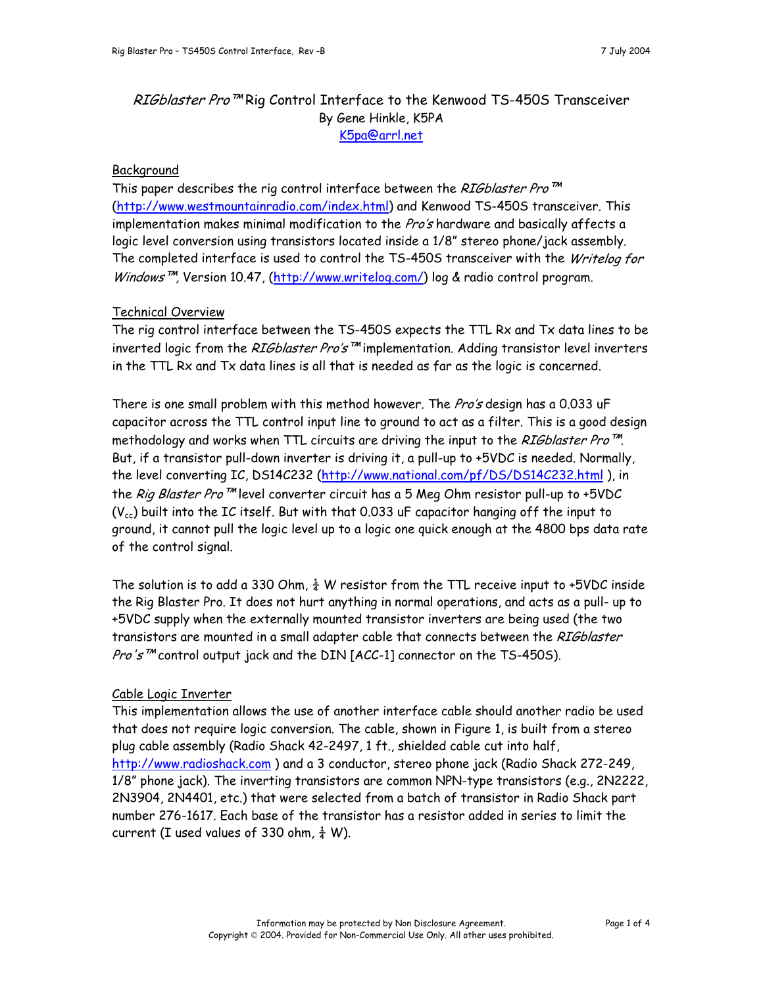# RIGblaster Pro<sup>™</sup> Rig Control Interface to the Kenwood TS-450S Transceiver By Gene Hinkle, K5PA [K5pa@arrl.net](mailto:K5pa@arrl.net)

## Background

This paper describes the rig control interface between the RIGblaster Pro<sup>TM</sup> (<http://www.westmountainradio.com/index.html>) and Kenwood TS-450S transceiver. This implementation makes minimal modification to the Pro's hardware and basically affects a logic level conversion using transistors located inside a 1/8" stereo phone/jack assembly. The completed interface is used to control the TS-450S transceiver with the Writelog for Windows<sup>™</sup>, Version 10.47, [\(http://www.writelog.com/\)](http://www.writelog.com/) log & radio control program.

# Technical Overview

The rig control interface between the TS-450S expects the TTL Rx and Tx data lines to be inverted logic from the RIGblaster Pro's<sup>™</sup> implementation. Adding transistor level inverters in the TTL Rx and Tx data lines is all that is needed as far as the logic is concerned.

There is one small problem with this method however. The *Pro's* design has a 0.033 uF capacitor across the TTL control input line to ground to act as a filter. This is a good design methodology and works when TTL circuits are driving the input to the RIGblaster Pro<sup>™.</sup> But, if a transistor pull-down inverter is driving it, a pull-up to +5VDC is needed. Normally, the level converting IC, DS14C232 [\(http://www.national.com/pf/DS/DS14C232.html](http://www.national.com/pf/DS/DS14C232.html)), in the Rig Blaster Pro™ level converter circuit has a 5 Meg Ohm resistor pull-up to +5VDC  $(V_{cc})$  built into the IC itself. But with that 0.033 uF capacitor hanging off the input to ground, it cannot pull the logic level up to a logic one quick enough at the 4800 bps data rate of the control signal.

The solution is to add a 330 Ohm,  $\frac{1}{4}$  W resistor from the TTL receive input to +5VDC inside the Rig Blaster Pro. It does not hurt anything in normal operations, and acts as a pull- up to +5VDC supply when the externally mounted transistor inverters are being used (the two transistors are mounted in a small adapter cable that connects between the RIGblaster *Pro's*™ control output jack and the DIN [ACC-1] connector on the TS-450S).

### Cable Logic Inverter

This implementation allows the use of another interface cable should another radio be used that does not require logic conversion. The cable, shown in Figure 1, is built from a stereo plug cable assembly (Radio Shack 42-2497, 1 ft., shielded cable cut into half, [http://www.radioshack.com](http://www.radioshack.com/) ) and a 3 conductor, stereo phone jack (Radio Shack 272-249, 1/8" phone jack). The inverting transistors are common NPN-type transistors (e.g., 2N2222, 2N3904, 2N4401, etc.) that were selected from a batch of transistor in Radio Shack part number 276-1617. Each base of the transistor has a resistor added in series to limit the current (I used values of 330 ohm,  $\frac{1}{4}$  W).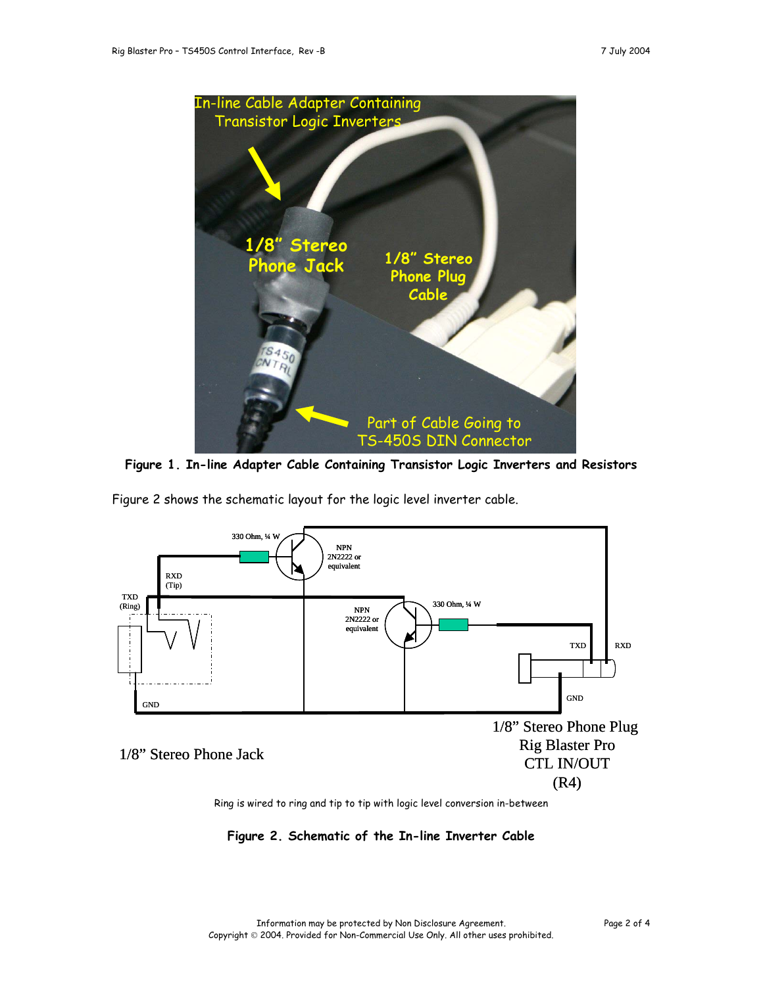

**Figure 1. In-line Adapter Cable Containing Transistor Logic Inverters and Resistors**

Figure 2 shows the schematic layout for the logic level inverter cable.



Ring is wired to ring and tip to tip with logic level conversion in-between

**Figure 2. Schematic of the In-line Inverter Cable**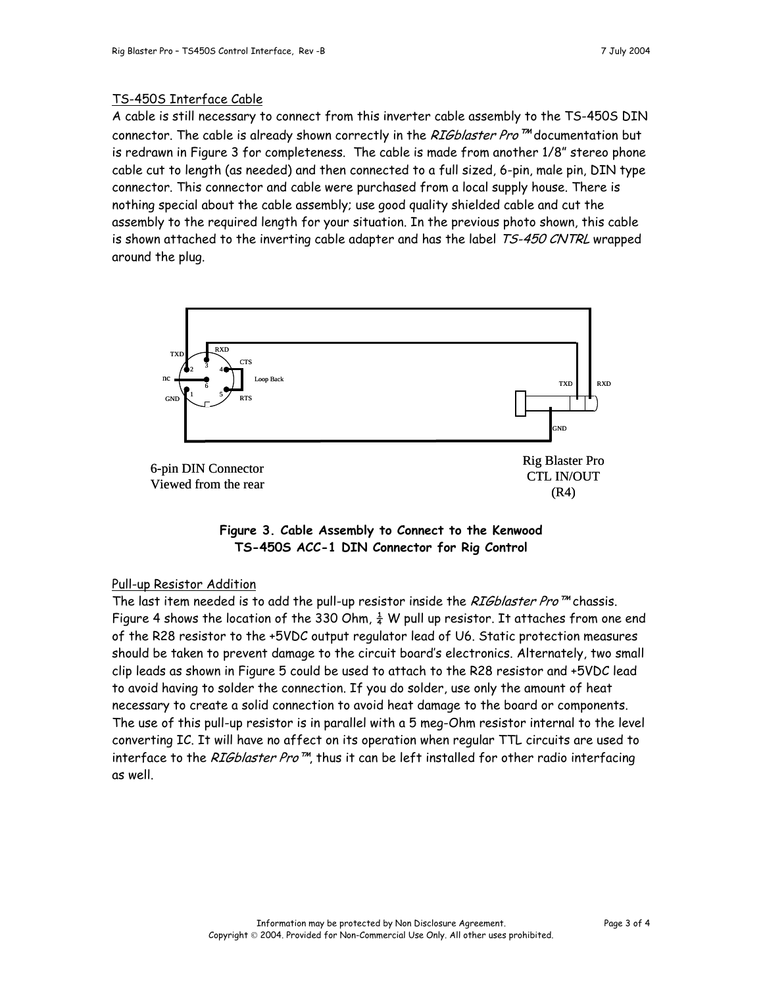## TS-450S Interface Cable

A cable is still necessary to connect from this inverter cable assembly to the TS-450S DIN connector. The cable is already shown correctly in the RIGblaster Pro<sup>™</sup> documentation but is redrawn in Figure 3 for completeness. The cable is made from another 1/8" stereo phone cable cut to length (as needed) and then connected to a full sized, 6-pin, male pin, DIN type connector. This connector and cable were purchased from a local supply house. There is nothing special about the cable assembly; use good quality shielded cable and cut the assembly to the required length for your situation. In the previous photo shown, this cable is shown attached to the inverting cable adapter and has the label TS-450 CNTRL wrapped around the plug.





### Pull-up Resistor Addition

The last item needed is to add the pull-up resistor inside the *RIGblaster Pro* ™ chassis. Figure 4 shows the location of the 330 Ohm,  $\frac{1}{4}$  W pull up resistor. It attaches from one end of the R28 resistor to the +5VDC output regulator lead of U6. Static protection measures should be taken to prevent damage to the circuit board's electronics. Alternately, two small clip leads as shown in Figure 5 could be used to attach to the R28 resistor and +5VDC lead to avoid having to solder the connection. If you do solder, use only the amount of heat necessary to create a solid connection to avoid heat damage to the board or components. The use of this pull-up resistor is in parallel with a 5 meg-Ohm resistor internal to the level converting IC. It will have no affect on its operation when regular TTL circuits are used to interface to the RIGblaster Pro $^{m}$ , thus it can be left installed for other radio interfacing as well.